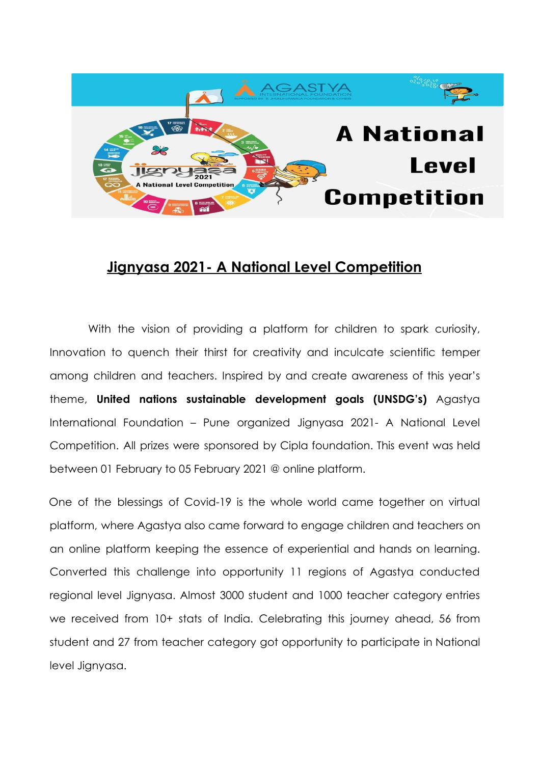

## **Jignyasa 2021- A National Level Competition**

With the vision of providing a platform for children to spark curiosity, Innovation to quench their thirst for creativity and inculcate scientific temper among children and teachers. Inspired by and create awareness of this year's theme, **United nations sustainable development goals (UNSDG's)** Agastya International Foundation – Pune organized Jignyasa 2021- A National Level Competition. All prizes were sponsored by Cipla foundation. This event was held between 01 February to 05 February 2021 @ online platform.

One of the blessings of Covid-19 is the whole world came together on virtual platform, where Agastya also came forward to engage children and teachers on an online platform keeping the essence of experiential and hands on learning. Converted this challenge into opportunity 11 regions of Agastya conducted regional level Jignyasa. Almost 3000 student and 1000 teacher category entries we received from 10+ stats of India. Celebrating this journey ahead, 56 from student and 27 from teacher category got opportunity to participate in National level Jignyasa.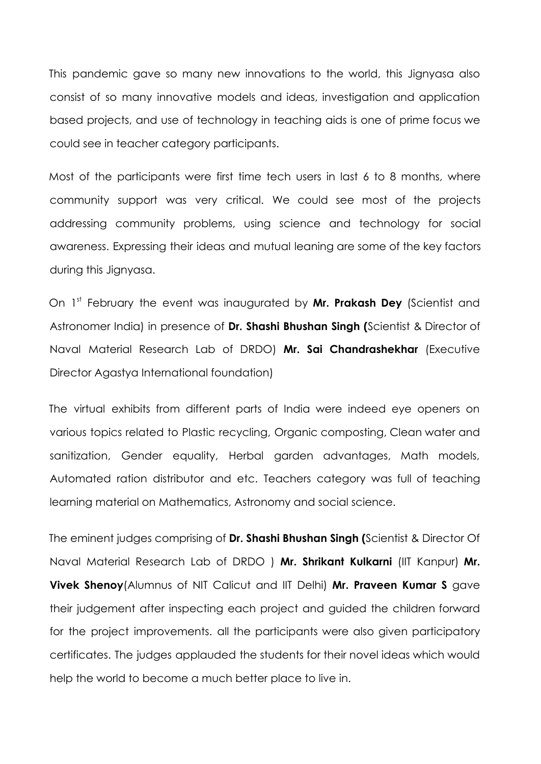This pandemic gave so many new innovations to the world, this Jignyasa also consist of so many innovative models and ideas, investigation and application based projects, and use of technology in teaching aids is one of prime focus we could see in teacher category participants.

Most of the participants were first time tech users in last 6 to 8 months, where community support was very critical. We could see most of the projects addressing community problems, using science and technology for social awareness. Expressing their ideas and mutual leaning are some of the key factors during this Jignyasa.

On 1 st February the event was inaugurated by **Mr. Prakash Dey** (Scientist and Astronomer India) in presence of **Dr. Shashi Bhushan Singh (**Scientist & Director of Naval Material Research Lab of DRDO) **Mr. Sai Chandrashekhar** (Executive Director Agastya International foundation)

The virtual exhibits from different parts of India were indeed eye openers on various topics related to Plastic recycling, Organic composting, Clean water and sanitization, Gender equality, Herbal garden advantages, Math models, Automated ration distributor and etc. Teachers category was full of teaching learning material on Mathematics, Astronomy and social science.

The eminent judges comprising of **Dr. Shashi Bhushan Singh (**Scientist & Director Of Naval Material Research Lab of DRDO ) **Mr. Shrikant Kulkarni** (IIT Kanpur) **Mr. Vivek Shenoy**(Alumnus of NIT Calicut and IIT Delhi) **Mr. Praveen Kumar S** gave their judgement after inspecting each project and guided the children forward for the project improvements. all the participants were also given participatory certificates. The judges applauded the students for their novel ideas which would help the world to become a much better place to live in.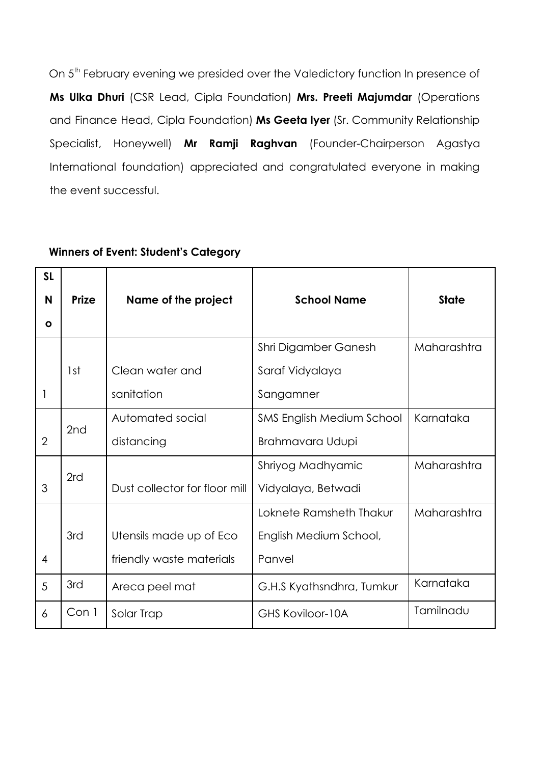On 5<sup>th</sup> February evening we presided over the Valedictory function In presence of **Ms Ulka Dhuri** (CSR Lead, Cipla Foundation) **Mrs. Preeti Majumdar** (Operations and Finance Head, Cipla Foundation) **Ms Geeta Iyer** (Sr. Community Relationship Specialist, Honeywell) **Mr Ramji Raghvan** (Founder-Chairperson Agastya International foundation) appreciated and congratulated everyone in making the event successful.

| <b>SL</b>      |              |                               |                                  |              |
|----------------|--------------|-------------------------------|----------------------------------|--------------|
| N              | <b>Prize</b> | Name of the project           | <b>School Name</b>               | <b>State</b> |
| Ο              |              |                               |                                  |              |
|                |              |                               | Shri Digamber Ganesh             | Maharashtra  |
|                | 1st          | Clean water and               | Saraf Vidyalaya                  |              |
| 1              |              | sanitation                    | Sangamner                        |              |
|                | 2nd          | Automated social              | <b>SMS English Medium School</b> | Karnataka    |
| $\overline{2}$ |              | distancing                    | Brahmavara Udupi                 |              |
|                | 2rd          |                               | Shriyog Madhyamic                | Maharashtra  |
| 3              |              | Dust collector for floor mill | Vidyalaya, Betwadi               |              |
|                |              |                               | Loknete Ramsheth Thakur          | Maharashtra  |
|                | 3rd          | Utensils made up of Eco       | English Medium School,           |              |
| 4              |              | friendly waste materials      | Panvel                           |              |
| 5              | 3rd          | Areca peel mat                | G.H.S Kyathsndhra, Tumkur        | Karnataka    |
| 6              | Con 1        | Solar Trap                    | <b>GHS Koviloor-10A</b>          | Tamilnadu    |

## **Winners of Event: Student's Category**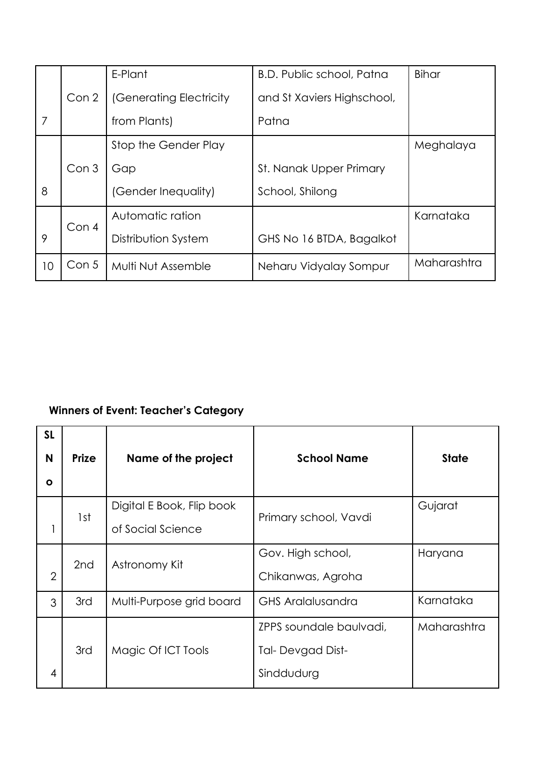|                |       | E-Plant                 | B.D. Public school, Patna  | <b>Bihar</b> |
|----------------|-------|-------------------------|----------------------------|--------------|
|                | Con 2 | (Generating Electricity | and St Xaviers Highschool, |              |
| $\overline{7}$ |       | from Plants)            | Patna                      |              |
|                |       | Stop the Gender Play    |                            | Meghalaya    |
|                | Con 3 | Gap                     | St. Nanak Upper Primary    |              |
| 8              |       | (Gender Inequality)     | School, Shilong            |              |
|                | Con 4 | Automatic ration        |                            | Karnataka    |
| 9              |       | Distribution System     | GHS No 16 BTDA, Bagalkot   |              |
| 10             | Con 5 | Multi Nut Assemble      | Neharu Vidyalay Sompur     | Maharashtra  |

## **Winners of Event: Teacher's Category**

| <b>SL</b><br>N | <b>Prize</b> | Name of the project       | <b>School Name</b>       | <b>State</b> |
|----------------|--------------|---------------------------|--------------------------|--------------|
| O              |              |                           |                          |              |
|                | 1st          | Digital E Book, Flip book | Primary school, Vavdi    | Gujarat      |
|                |              | of Social Science         |                          |              |
|                | 2nd          | Astronomy Kit             | Gov. High school,        | Haryana      |
| $\overline{2}$ |              |                           | Chikanwas, Agroha        |              |
| 3              | 3rd          | Multi-Purpose grid board  | <b>GHS Aralalusandra</b> | Karnataka    |
|                |              |                           | ZPPS soundale baulvadi,  | Maharashtra  |
|                | 3rd          | Magic Of ICT Tools        | <b>Tal-Devgad Dist-</b>  |              |
| 4              |              |                           | Sinddudurg               |              |